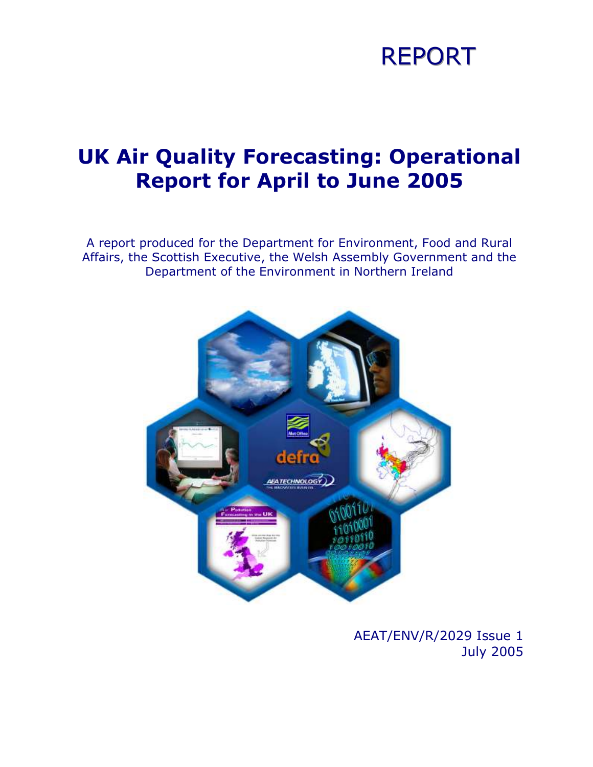

## UK Air Quality Forecasting: Operational Report for April to June 2005

A report produced for the Department for Environment, Food and Rural Affairs, the Scottish Executive, the Welsh Assembly Government and the Department of the Environment in Northern Ireland



AEAT/ENV/R/2029 Issue 1 July 2005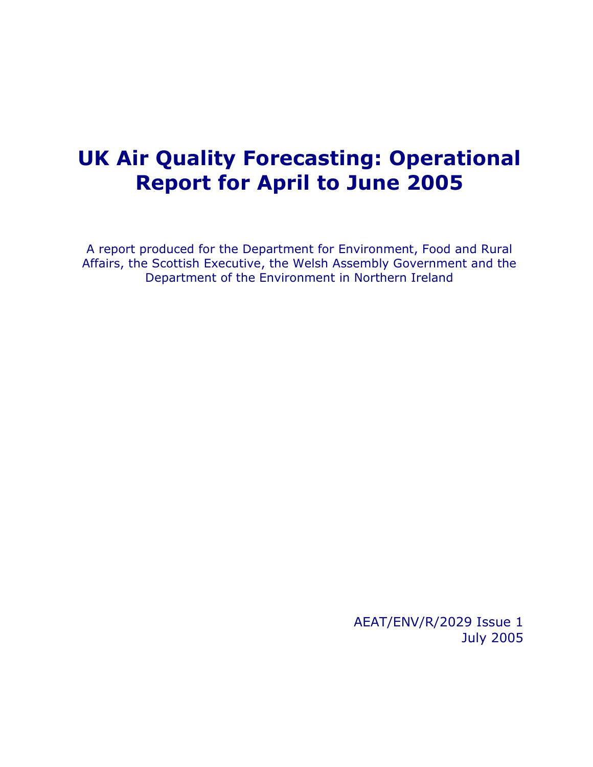## UK Air Quality Forecasting: Operational Report for April to June 2005

A report produced for the Department for Environment, Food and Rural Affairs, the Scottish Executive, the Welsh Assembly Government and the Department of the Environment in Northern Ireland

> AEAT/ENV/R/2029 Issue 1 July 2005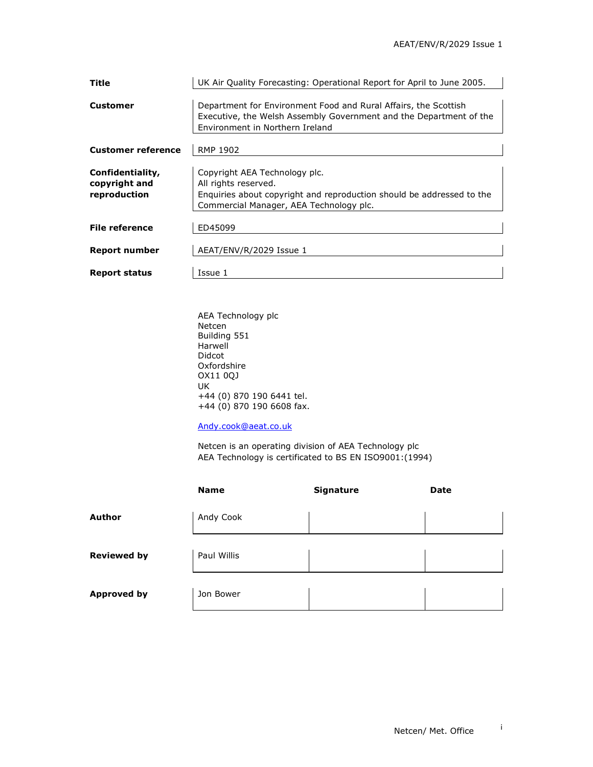| Title                                             | UK Air Quality Forecasting: Operational Report for April to June 2005.                                                                                                    |
|---------------------------------------------------|---------------------------------------------------------------------------------------------------------------------------------------------------------------------------|
| <b>Customer</b>                                   | Department for Environment Food and Rural Affairs, the Scottish<br>Executive, the Welsh Assembly Government and the Department of the<br>Environment in Northern Ireland  |
| <b>Customer reference</b>                         | <b>RMP 1902</b>                                                                                                                                                           |
| Confidentiality,<br>copyright and<br>reproduction | Copyright AEA Technology plc.<br>All rights reserved.<br>Enquiries about copyright and reproduction should be addressed to the<br>Commercial Manager, AEA Technology plc. |
| <b>File reference</b>                             | ED45099                                                                                                                                                                   |
| <b>Report number</b>                              | AEAT/ENV/R/2029 Issue 1                                                                                                                                                   |
| <b>Report status</b>                              | Issue 1                                                                                                                                                                   |

AEA Technology plc Netcen Building 551 **Harwell** Didcot Oxfordshire OX11 0QJ UK +44 (0) 870 190 6441 tel. +44 (0) 870 190 6608 fax.

### Andy.cook@aeat.co.uk

 Netcen is an operating division of AEA Technology plc AEA Technology is certificated to BS EN ISO9001:(1994)

|                    | <b>Name</b> | <b>Signature</b> | <b>Date</b> |
|--------------------|-------------|------------------|-------------|
| <b>Author</b>      | Andy Cook   |                  |             |
| <b>Reviewed by</b> | Paul Willis |                  |             |
| <b>Approved by</b> | Jon Bower   |                  |             |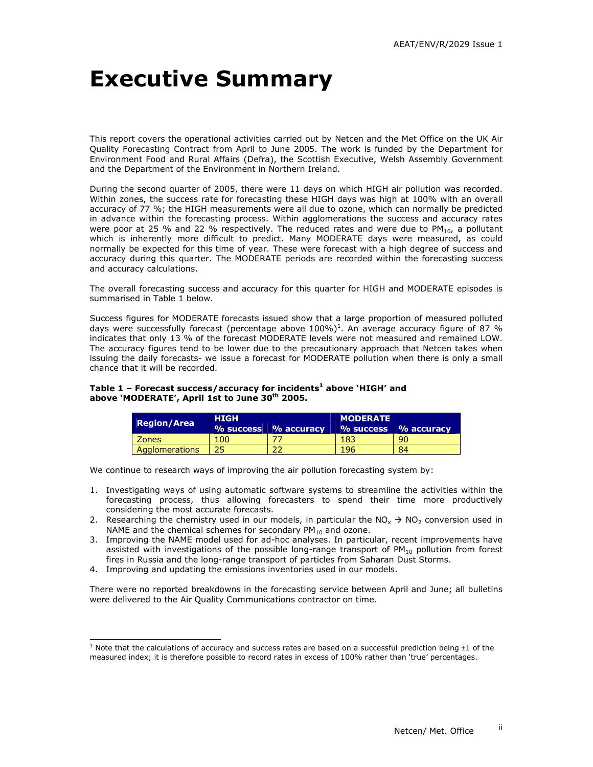## Executive Summary

This report covers the operational activities carried out by Netcen and the Met Office on the UK Air Quality Forecasting Contract from April to June 2005. The work is funded by the Department for Environment Food and Rural Affairs (Defra), the Scottish Executive, Welsh Assembly Government and the Department of the Environment in Northern Ireland.

During the second quarter of 2005, there were 11 days on which HIGH air pollution was recorded. Within zones, the success rate for forecasting these HIGH days was high at 100% with an overall accuracy of 77 %; the HIGH measurements were all due to ozone, which can normally be predicted in advance within the forecasting process. Within agglomerations the success and accuracy rates were poor at 25 % and 22 % respectively. The reduced rates and were due to  $PM_{10}$ , a pollutant which is inherently more difficult to predict. Many MODERATE days were measured, as could normally be expected for this time of year. These were forecast with a high degree of success and accuracy during this quarter. The MODERATE periods are recorded within the forecasting success and accuracy calculations.

The overall forecasting success and accuracy for this quarter for HIGH and MODERATE episodes is summarised in Table 1 below.

Success figures for MODERATE forecasts issued show that a large proportion of measured polluted days were successfully forecast (percentage above  $100\%)^1$ . An average accuracy figure of 87 % indicates that only 13 % of the forecast MODERATE levels were not measured and remained LOW. The accuracy figures tend to be lower due to the precautionary approach that Netcen takes when issuing the daily forecasts- we issue a forecast for MODERATE pollution when there is only a small chance that it will be recorded.

#### Table 1 – Forecast success/accuracy for incidents $^1$  above `HIGH' and above 'MODERATE', April 1st to June 30<sup>th</sup> 2005.

|                    | <b>HIGH</b> |                      | <b>MODERATE</b> |                      |  |  |
|--------------------|-------------|----------------------|-----------------|----------------------|--|--|
| <b>Region/Area</b> |             | % success % accuracy |                 | % success % accuracy |  |  |
| <b>Zones</b>       | 100         |                      | 183             | 90                   |  |  |
| Agglomerations     | 25          |                      | 196             | 84                   |  |  |

We continue to research ways of improving the air pollution forecasting system by:

- 1. Investigating ways of using automatic software systems to streamline the activities within the forecasting process, thus allowing forecasters to spend their time more productively considering the most accurate forecasts.
- 2. Researching the chemistry used in our models, in particular the  $NO<sub>x</sub> \rightarrow NO<sub>2</sub>$  conversion used in NAME and the chemical schemes for secondary  $PM_{10}$  and ozone.
- 3. Improving the NAME model used for ad-hoc analyses. In particular, recent improvements have assisted with investigations of the possible long-range transport of  $PM_{10}$  pollution from forest fires in Russia and the long-range transport of particles from Saharan Dust Storms.
- 4. Improving and updating the emissions inventories used in our models.

1

There were no reported breakdowns in the forecasting service between April and June; all bulletins were delivered to the Air Quality Communications contractor on time.

 $^{\rm 1}$  Note that the calculations of accuracy and success rates are based on a successful prediction being  $\pm 1$  of the measured index; it is therefore possible to record rates in excess of 100% rather than 'true' percentages.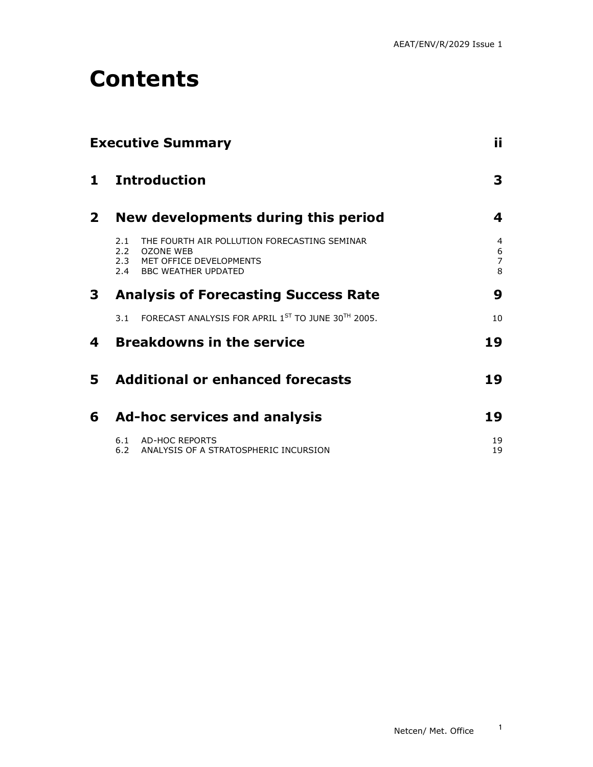## **Contents**

| <b>Executive Summary</b>                                                                                                                           | ii.                                             |  |  |  |  |
|----------------------------------------------------------------------------------------------------------------------------------------------------|-------------------------------------------------|--|--|--|--|
| <b>Introduction</b>                                                                                                                                | 3                                               |  |  |  |  |
| New developments during this period                                                                                                                | 4                                               |  |  |  |  |
| THE FOURTH AIR POLLUTION FORECASTING SEMINAR<br>2.1<br>$2.2^{\circ}$<br><b>OZONE WEB</b><br>2.3 MET OFFICE DEVELOPMENTS<br>2.4 BBC WEATHER UPDATED | 4<br>$\begin{array}{c} 6 \\ 7 \end{array}$<br>8 |  |  |  |  |
| <b>Analysis of Forecasting Success Rate</b><br>3                                                                                                   |                                                 |  |  |  |  |
| FORECAST ANALYSIS FOR APRIL 1ST TO JUNE 30TH 2005.<br>3.1                                                                                          | 10                                              |  |  |  |  |
| <b>Breakdowns in the service</b>                                                                                                                   | 19                                              |  |  |  |  |
| <b>Additional or enhanced forecasts</b>                                                                                                            | 19                                              |  |  |  |  |
| Ad-hoc services and analysis                                                                                                                       | 19                                              |  |  |  |  |
| 6.1 AD-HOC REPORTS<br>6.2<br>ANALYSIS OF A STRATOSPHERIC INCURSION                                                                                 | 19<br>19                                        |  |  |  |  |
|                                                                                                                                                    |                                                 |  |  |  |  |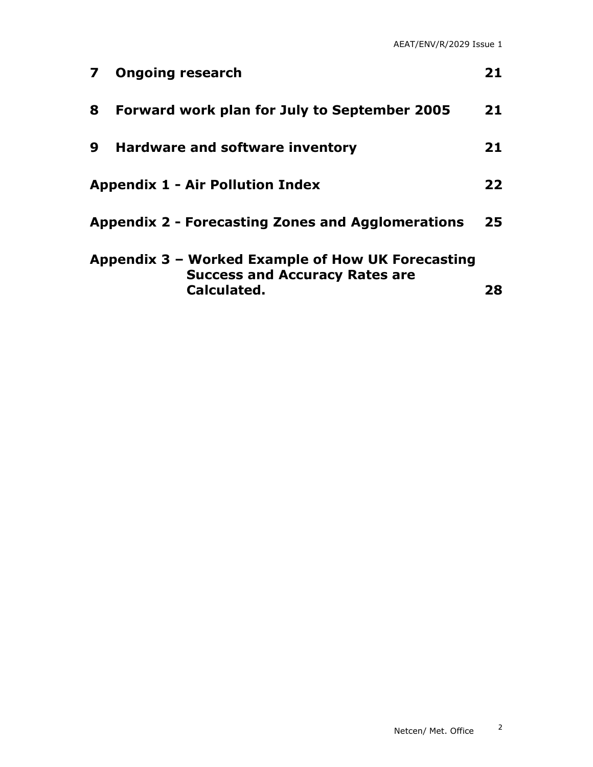| $\mathbf{z}$ | <b>Ongoing research</b>                                                                                   | 21 |
|--------------|-----------------------------------------------------------------------------------------------------------|----|
| 8            | Forward work plan for July to September 2005                                                              | 21 |
| 9            | Hardware and software inventory                                                                           | 21 |
|              | <b>Appendix 1 - Air Pollution Index</b>                                                                   | 22 |
|              | Appendix 2 - Forecasting Zones and Agglomerations                                                         | 25 |
|              | Appendix 3 – Worked Example of How UK Forecasting<br><b>Success and Accuracy Rates are</b><br>Calculated. | 28 |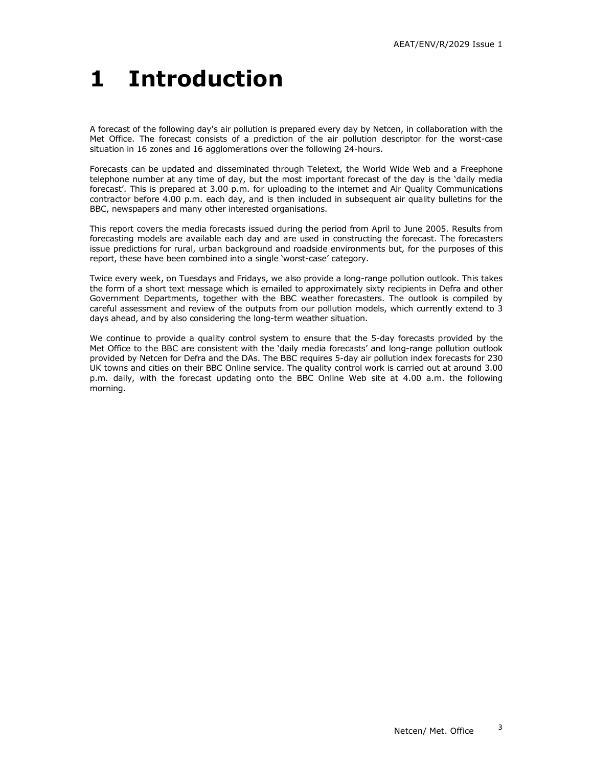# 1 Introduction

A forecast of the following day's air pollution is prepared every day by Netcen, in collaboration with the Met Office. The forecast consists of a prediction of the air pollution descriptor for the worst-case situation in 16 zones and 16 agglomerations over the following 24-hours.

Forecasts can be updated and disseminated through Teletext, the World Wide Web and a Freephone telephone number at any time of day, but the most important forecast of the day is the 'daily media forecast'. This is prepared at 3.00 p.m. for uploading to the internet and Air Quality Communications contractor before 4.00 p.m. each day, and is then included in subsequent air quality bulletins for the BBC, newspapers and many other interested organisations.

This report covers the media forecasts issued during the period from April to June 2005. Results from forecasting models are available each day and are used in constructing the forecast. The forecasters issue predictions for rural, urban background and roadside environments but, for the purposes of this report, these have been combined into a single 'worst-case' category.

Twice every week, on Tuesdays and Fridays, we also provide a long-range pollution outlook. This takes the form of a short text message which is emailed to approximately sixty recipients in Defra and other Government Departments, together with the BBC weather forecasters. The outlook is compiled by careful assessment and review of the outputs from our pollution models, which currently extend to 3 days ahead, and by also considering the long-term weather situation.

We continue to provide a quality control system to ensure that the 5-day forecasts provided by the Met Office to the BBC are consistent with the 'daily media forecasts' and long-range pollution outlook provided by Netcen for Defra and the DAs. The BBC requires 5-day air pollution index forecasts for 230 UK towns and cities on their BBC Online service. The quality control work is carried out at around 3.00 p.m. daily, with the forecast updating onto the BBC Online Web site at 4.00 a.m. the following morning.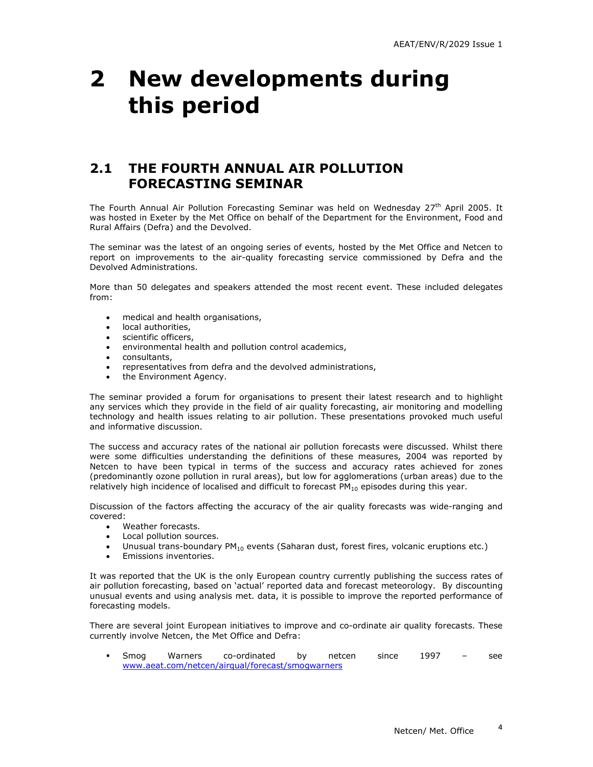# 2 New developments during this period

### 2.1 THE FOURTH ANNUAL AIR POLLUTION FORECASTING SEMINAR

The Fourth Annual Air Pollution Forecasting Seminar was held on Wednesday 27<sup>th</sup> April 2005. It was hosted in Exeter by the Met Office on behalf of the Department for the Environment, Food and Rural Affairs (Defra) and the Devolved.

The seminar was the latest of an ongoing series of events, hosted by the Met Office and Netcen to report on improvements to the air-quality forecasting service commissioned by Defra and the Devolved Administrations.

More than 50 delegates and speakers attended the most recent event. These included delegates from:

- medical and health organisations,
- local authorities,
- scientific officers,
- environmental health and pollution control academics,
- consultants,
- representatives from defra and the devolved administrations,
- the Environment Agency.

The seminar provided a forum for organisations to present their latest research and to highlight any services which they provide in the field of air quality forecasting, air monitoring and modelling technology and health issues relating to air pollution. These presentations provoked much useful and informative discussion.

The success and accuracy rates of the national air pollution forecasts were discussed. Whilst there were some difficulties understanding the definitions of these measures, 2004 was reported by Netcen to have been typical in terms of the success and accuracy rates achieved for zones (predominantly ozone pollution in rural areas), but low for agglomerations (urban areas) due to the relatively high incidence of localised and difficult to forecast  $PM_{10}$  episodes during this year.

Discussion of the factors affecting the accuracy of the air quality forecasts was wide-ranging and covered:

- Weather forecasts.
- Local pollution sources.
- Unusual trans-boundary  $PM_{10}$  events (Saharan dust, forest fires, volcanic eruptions etc.)
- Emissions inventories.

It was reported that the UK is the only European country currently publishing the success rates of air pollution forecasting, based on 'actual' reported data and forecast meteorology. By discounting unusual events and using analysis met. data, it is possible to improve the reported performance of forecasting models.

There are several joint European initiatives to improve and co-ordinate air quality forecasts. These currently involve Netcen, the Met Office and Defra:

- Smog Warners co-ordinated by netcen since 1997 – see www.aeat.com/netcen/airqual/forecast/smogwarners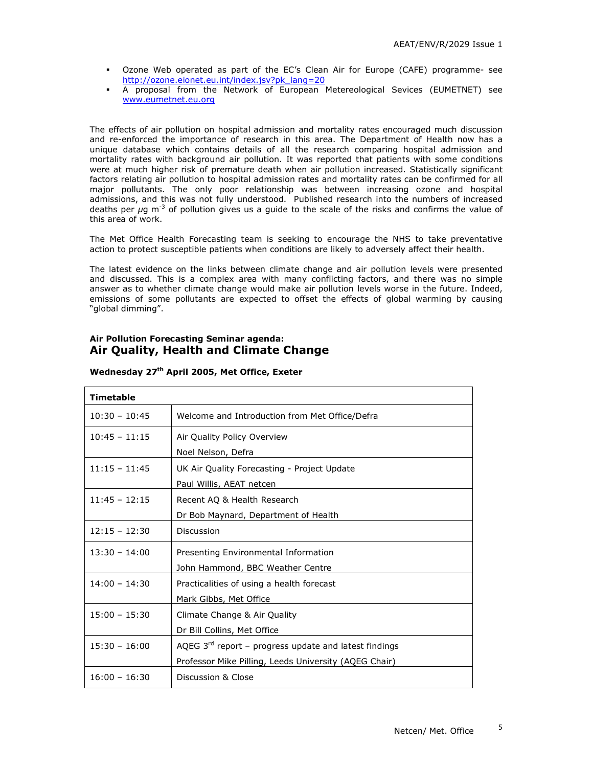- - Ozone Web operated as part of the EC's Clean Air for Europe (CAFE) programme- see http://ozone.eionet.eu.int/index.jsv?pk\_lang=20
- - A proposal from the Network of European Metereological Sevices (EUMETNET) see www.eumetnet.eu.org

The effects of air pollution on hospital admission and mortality rates encouraged much discussion and re-enforced the importance of research in this area. The Department of Health now has a unique database which contains details of all the research comparing hospital admission and mortality rates with background air pollution. It was reported that patients with some conditions were at much higher risk of premature death when air pollution increased. Statistically significant factors relating air pollution to hospital admission rates and mortality rates can be confirmed for all major pollutants. The only poor relationship was between increasing ozone and hospital admissions, and this was not fully understood. Published research into the numbers of increased deaths per  $\mu$ g m<sup>-3</sup> of pollution gives us a quide to the scale of the risks and confirms the value of this area of work.

The Met Office Health Forecasting team is seeking to encourage the NHS to take preventative action to protect susceptible patients when conditions are likely to adversely affect their health.

The latest evidence on the links between climate change and air pollution levels were presented and discussed. This is a complex area with many conflicting factors, and there was no simple answer as to whether climate change would make air pollution levels worse in the future. Indeed, emissions of some pollutants are expected to offset the effects of global warming by causing "global dimming".

### Air Pollution Forecasting Seminar agenda: Air Quality, Health and Climate Change

| <b>Timetable</b> |                                                            |
|------------------|------------------------------------------------------------|
| $10:30 - 10:45$  | Welcome and Introduction from Met Office/Defra             |
| $10:45 - 11:15$  | Air Quality Policy Overview                                |
|                  | Noel Nelson, Defra                                         |
| $11:15 - 11:45$  | UK Air Quality Forecasting - Project Update                |
|                  | Paul Willis, AEAT netcen                                   |
| $11:45 - 12:15$  | Recent AQ & Health Research                                |
|                  | Dr Bob Maynard, Department of Health                       |
| $12:15 - 12:30$  | Discussion                                                 |
| $13:30 - 14:00$  | Presenting Environmental Information                       |
|                  | John Hammond, BBC Weather Centre                           |
| $14:00 - 14:30$  | Practicalities of using a health forecast                  |
|                  | Mark Gibbs, Met Office                                     |
| $15:00 - 15:30$  | Climate Change & Air Quality                               |
|                  | Dr Bill Collins, Met Office                                |
| $15:30 - 16:00$  | AQEG $3^{rd}$ report - progress update and latest findings |
|                  | Professor Mike Pilling, Leeds University (AQEG Chair)      |
| $16:00 - 16:30$  | Discussion & Close                                         |

### Wednesday 27th April 2005, Met Office, Exeter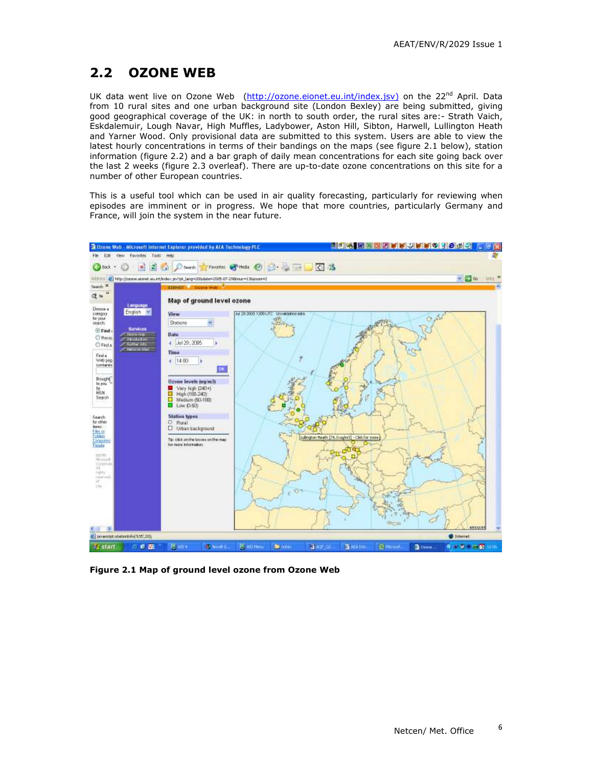## 2.2 OZONE WEB

UK data went live on Ozone Web (http://ozone.eionet.eu.int/index.jsv) on the 22<sup>nd</sup> April. Data from 10 rural sites and one urban background site (London Bexley) are being submitted, giving good geographical coverage of the UK: in north to south order, the rural sites are:- Strath Vaich, Eskdalemuir, Lough Navar, High Muffles, Ladybower, Aston Hill, Sibton, Harwell, Lullington Heath and Yarner Wood. Only provisional data are submitted to this system. Users are able to view the latest hourly concentrations in terms of their bandings on the maps (see figure 2.1 below), station information (figure 2.2) and a bar graph of daily mean concentrations for each site going back over the last 2 weeks (figure 2.3 overleaf). There are up-to-date ozone concentrations on this site for a number of other European countries.

This is a useful tool which can be used in air quality forecasting, particularly for reviewing when episodes are imminent or in progress. We hope that more countries, particularly Germany and France, will join the system in the near future.



Figure 2.1 Map of ground level ozone from Ozone Web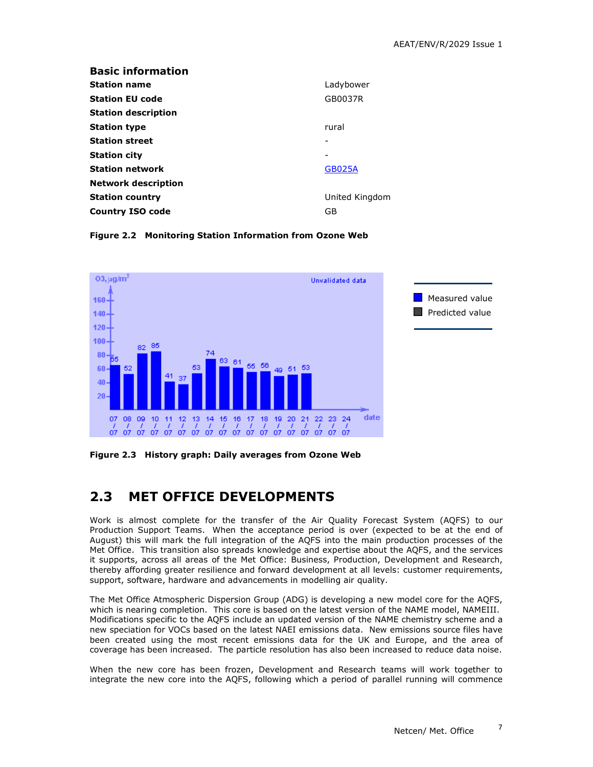| <b>Basic information</b>   |                |
|----------------------------|----------------|
| <b>Station name</b>        | Ladybower      |
| <b>Station EU code</b>     | GB0037R        |
| <b>Station description</b> |                |
| <b>Station type</b>        | rural          |
| <b>Station street</b>      |                |
| <b>Station city</b>        | -              |
| <b>Station network</b>     | <b>GB025A</b>  |
| <b>Network description</b> |                |
| <b>Station country</b>     | United Kingdom |
| <b>Country ISO code</b>    | GB             |

#### Figure 2.2 Monitoring Station Information from Ozone Web



Figure 2.3 History graph: Daily averages from Ozone Web

## 2.3 MET OFFICE DEVELOPMENTS

Work is almost complete for the transfer of the Air Quality Forecast System (AQFS) to our Production Support Teams. When the acceptance period is over (expected to be at the end of August) this will mark the full integration of the AQFS into the main production processes of the Met Office. This transition also spreads knowledge and expertise about the AQFS, and the services it supports, across all areas of the Met Office: Business, Production, Development and Research, thereby affording greater resilience and forward development at all levels: customer requirements, support, software, hardware and advancements in modelling air quality.

The Met Office Atmospheric Dispersion Group (ADG) is developing a new model core for the AQFS, which is nearing completion. This core is based on the latest version of the NAME model, NAMEIII. Modifications specific to the AQFS include an updated version of the NAME chemistry scheme and a new speciation for VOCs based on the latest NAEI emissions data. New emissions source files have been created using the most recent emissions data for the UK and Europe, and the area of coverage has been increased. The particle resolution has also been increased to reduce data noise.

When the new core has been frozen, Development and Research teams will work together to integrate the new core into the AQFS, following which a period of parallel running will commence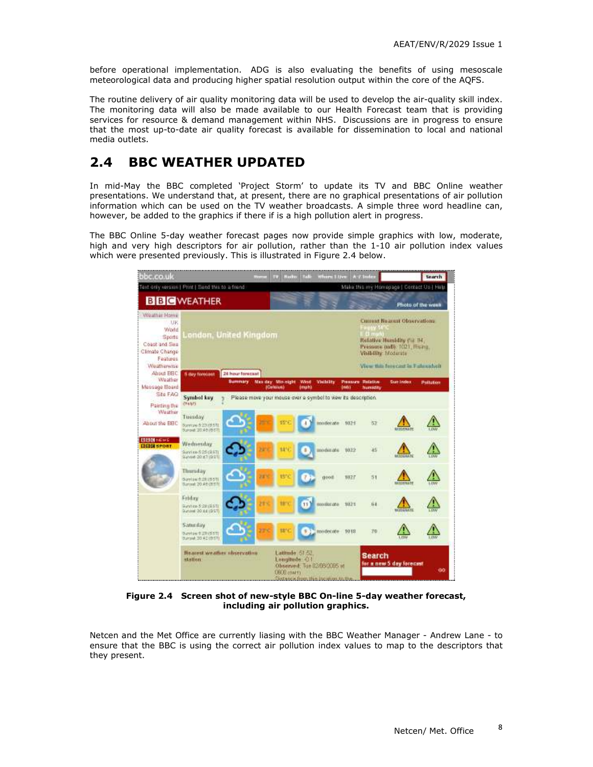before operational implementation. ADG is also evaluating the benefits of using mesoscale meteorological data and producing higher spatial resolution output within the core of the AQFS.

The routine delivery of air quality monitoring data will be used to develop the air-quality skill index. The monitoring data will also be made available to our Health Forecast team that is providing services for resource & demand management within NHS. Discussions are in progress to ensure that the most up-to-date air quality forecast is available for dissemination to local and national media outlets.

### 2.4 BBC WEATHER UPDATED

In mid-May the BBC completed 'Project Storm' to update its TV and BBC Online weather presentations. We understand that, at present, there are no graphical presentations of air pollution information which can be used on the TV weather broadcasts. A simple three word headline can, however, be added to the graphics if there if is a high pollution alert in progress.

The BBC Online 5-day weather forecast pages now provide simple graphics with low, moderate, high and very high descriptors for air pollution, rather than the 1-10 air pollution index values which were presented previously. This is illustrated in Figure 2.4 below.



Figure 2.4 Screen shot of new-style BBC On-line 5-day weather forecast, including air pollution graphics.

Netcen and the Met Office are currently liasing with the BBC Weather Manager - Andrew Lane - to ensure that the BBC is using the correct air pollution index values to map to the descriptors that they present.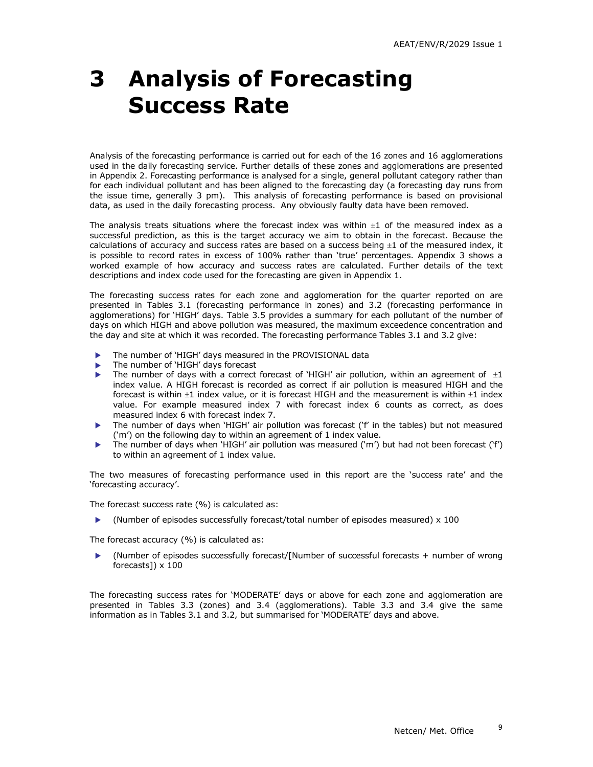# 3 Analysis of Forecasting Success Rate

Analysis of the forecasting performance is carried out for each of the 16 zones and 16 agglomerations used in the daily forecasting service. Further details of these zones and agglomerations are presented in Appendix 2. Forecasting performance is analysed for a single, general pollutant category rather than for each individual pollutant and has been aligned to the forecasting day (a forecasting day runs from the issue time, generally 3 pm). This analysis of forecasting performance is based on provisional data, as used in the daily forecasting process. Any obviously faulty data have been removed.

The analysis treats situations where the forecast index was within  $\pm 1$  of the measured index as a successful prediction, as this is the target accuracy we aim to obtain in the forecast. Because the calculations of accuracy and success rates are based on a success being  $\pm 1$  of the measured index, it is possible to record rates in excess of 100% rather than 'true' percentages. Appendix 3 shows a worked example of how accuracy and success rates are calculated. Further details of the text descriptions and index code used for the forecasting are given in Appendix 1.

The forecasting success rates for each zone and agglomeration for the quarter reported on are presented in Tables 3.1 (forecasting performance in zones) and 3.2 (forecasting performance in agglomerations) for 'HIGH' days. Table 3.5 provides a summary for each pollutant of the number of days on which HIGH and above pollution was measured, the maximum exceedence concentration and the day and site at which it was recorded. The forecasting performance Tables 3.1 and 3.2 give:

- The number of 'HIGH' days measured in the PROVISIONAL data
- The number of 'HIGH' days forecast
- The number of days with a correct forecast of 'HIGH' air pollution, within an agreement of  $\pm 1$ index value. A HIGH forecast is recorded as correct if air pollution is measured HIGH and the forecast is within  $\pm 1$  index value, or it is forecast HIGH and the measurement is within  $\pm 1$  index value. For example measured index 7 with forecast index 6 counts as correct, as does measured index 6 with forecast index 7.
- The number of days when 'HIGH' air pollution was forecast ('f' in the tables) but not measured ('m') on the following day to within an agreement of 1 index value.
- The number of days when 'HIGH' air pollution was measured ('m') but had not been forecast ('f') to within an agreement of 1 index value.

The two measures of forecasting performance used in this report are the 'success rate' and the 'forecasting accuracy'.

The forecast success rate (%) is calculated as:

(Number of episodes successfully forecast/total number of episodes measured) x 100

The forecast accuracy (%) is calculated as:

 $\triangleright$  (Number of episodes successfully forecast/[Number of successful forecasts + number of wrong forecasts]) x 100

The forecasting success rates for 'MODERATE' days or above for each zone and agglomeration are presented in Tables 3.3 (zones) and 3.4 (agglomerations). Table 3.3 and 3.4 give the same information as in Tables 3.1 and 3.2, but summarised for 'MODERATE' days and above.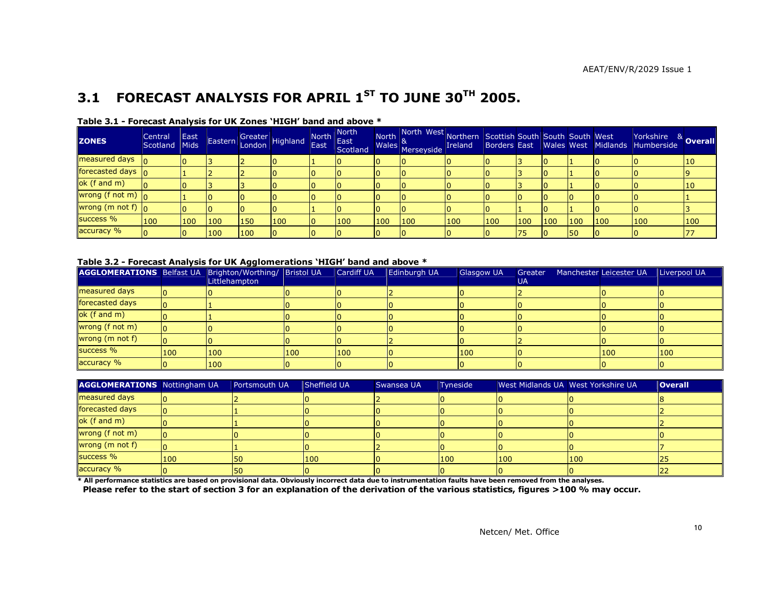## 3.1 FORECAST ANALYSIS FOR APRIL 1<sup>ST</sup> TO JUNE 30<sup>TH</sup> 2005.

| <b>ZONES</b>               | Central<br>Scotland Mids |     |     |     | East Eastern Greater Highland | <b>North</b><br>East | North<br>East<br>Scotland | <b>North</b> | Wales & Treland |     |     |     |     |     |     | North West Northern Scottish South South South West Yorkshire &<br>Yorkshire & Overall |     |
|----------------------------|--------------------------|-----|-----|-----|-------------------------------|----------------------|---------------------------|--------------|-----------------|-----|-----|-----|-----|-----|-----|----------------------------------------------------------------------------------------|-----|
| measured days              |                          |     |     |     |                               |                      |                           |              |                 |     |     |     |     |     |     |                                                                                        | 10  |
| forecasted days $\sqrt{0}$ |                          |     |     |     |                               |                      |                           |              |                 |     |     |     |     |     |     |                                                                                        |     |
| ok (f and m)               | 10                       |     |     |     |                               |                      |                           |              |                 |     |     |     |     |     |     |                                                                                        | 10  |
| wrong (f not m) $\vert_0$  |                          |     |     |     |                               |                      |                           |              |                 |     |     |     |     |     |     |                                                                                        |     |
| wrong (m not f) $\vert_0$  |                          |     |     |     |                               |                      |                           |              |                 |     |     |     |     |     |     |                                                                                        |     |
| success %                  | 100                      | 100 | 100 | 150 | 100                           |                      | 100                       | 100          | 100             | 100 | 100 | 100 | 100 | 100 | 100 | 100                                                                                    | 100 |
| accuracy %                 | 0                        |     | 100 | 100 |                               |                      |                           |              |                 |     |     | 75  |     | 50  |     |                                                                                        |     |

### Table 3.1 - Forecast Analysis for UK Zones 'HIGH' band and above \*

#### Table 3.2 - Forecast Analysis for UK Agglomerations 'HIGH' band and above \*

| AGGLOMERATIONS Belfast UA Brighton/Worthing/ Bristol UA |     | Littlehampton |     | <b>Cardiff UA</b> | Edinburgh UA | Glasgow UA | Greater Manchester Leicester UA<br>UA |     | Liverpool UA |
|---------------------------------------------------------|-----|---------------|-----|-------------------|--------------|------------|---------------------------------------|-----|--------------|
| measured days                                           |     |               |     |                   |              |            |                                       |     |              |
| forecasted days                                         |     |               |     |                   |              |            |                                       |     |              |
| ok (f and m)                                            |     |               |     |                   |              |            |                                       |     |              |
| wrong (f not m)                                         | lo  |               |     |                   |              |            |                                       |     |              |
| wrong (m not f)                                         | I٥  |               |     |                   |              |            |                                       |     |              |
| success %                                               | 100 | 100           | 100 | 100               |              | 100        |                                       | 100 | 100          |
| accuracy %                                              |     | 100           |     |                   |              |            |                                       |     |              |

| <b>AGGLOMERATIONS</b> Nottingham UA                                                                                                                     |     | Portsmouth UA | Sheffield UA | Swansea UA | Tyneside |     | West Midlands UA West Yorkshire UA | <b>Overall</b> |
|---------------------------------------------------------------------------------------------------------------------------------------------------------|-----|---------------|--------------|------------|----------|-----|------------------------------------|----------------|
| measured days                                                                                                                                           |     |               |              |            |          |     |                                    |                |
| forecasted days                                                                                                                                         |     |               |              |            |          |     |                                    |                |
| ok (f and m)                                                                                                                                            |     |               |              |            |          |     |                                    |                |
| wrong (f not m)                                                                                                                                         |     |               |              |            |          |     |                                    |                |
| wrong (m not f)                                                                                                                                         |     |               |              |            |          |     |                                    |                |
| success %                                                                                                                                               | 100 | 50            | 100          |            | 100      | 100 | 100                                |                |
| accuracy %                                                                                                                                              |     | 50            |              |            |          |     |                                    |                |
| * All performance statistics are based on provisional data. Obviously incorrect data due to instrumentation faults have been removed from the analyses. |     |               |              |            |          |     |                                    |                |

Please refer to the start of section 3 for an explanation of the derivation of the various statistics, figures >100 % may occur.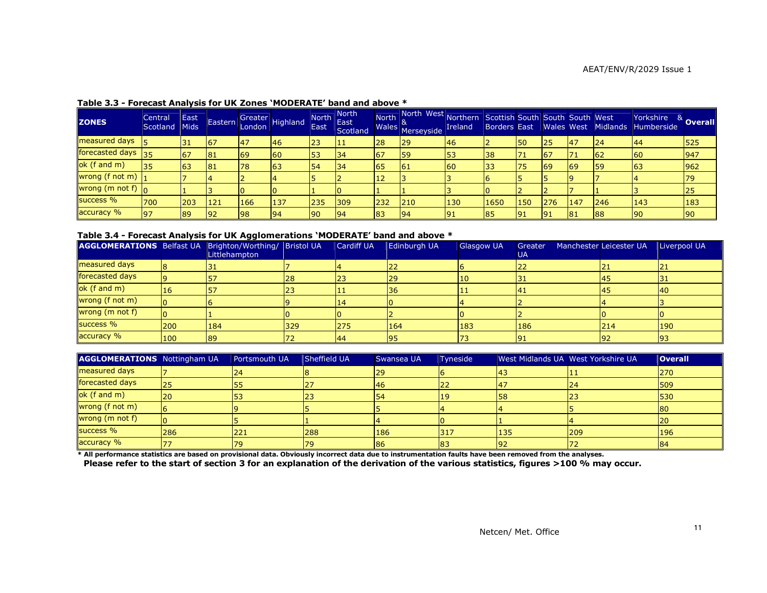| <b>ZONES</b>              | Central<br>Scotland | East<br><b>Mids</b> | Eastern | London | <b>Greater</b> Highland | North<br>East | North<br>East<br>Scotland | <b>North</b> | North West Northern Scottish South South South West<br>Wales Merseyside Treland |           | Borders East |     |     |             |           | Yorkshire & Overall<br>Wales West Midlands Humberside |     |
|---------------------------|---------------------|---------------------|---------|--------|-------------------------|---------------|---------------------------|--------------|---------------------------------------------------------------------------------|-----------|--------------|-----|-----|-------------|-----------|-------------------------------------------------------|-----|
| measured days             |                     | 31                  | 67      | 47     | <b>146</b>              | 23            |                           | 28           | 129                                                                             | <b>46</b> |              | 50  | 25  | $\sqrt{47}$ | 24        | 44                                                    | 525 |
| forecasted days 35        |                     | 67                  | 81      | 69     | <b>60</b>               | 53            | 34                        | 67           | 59                                                                              | 53        | 38           | 71  | 67  | 71          | 162       | <b>60</b>                                             | 947 |
| ok (f and m)              | 35                  | 63                  | 81      | 78     | 63                      | 54            | 34                        | 65           | 61                                                                              | 60        | 33           | 75  | 69  | 69          | <b>59</b> | 63                                                    | 962 |
| wrong (f not m)           |                     |                     |         |        |                         |               |                           |              |                                                                                 |           |              |     |     |             |           |                                                       | 79  |
| wrong (m not f) $\vert$ 0 |                     |                     |         |        |                         |               |                           |              |                                                                                 |           |              |     |     |             |           |                                                       | 25  |
| success %                 | 700                 | 203                 | 121     | 166    | 137                     | 235           | 309                       | 232          | 210                                                                             | 130       | 1650         | 150 | 276 | 147         | 246       | 143                                                   | 183 |
| accuracy %                | 97                  | 89                  | 92      | 98     | 94                      | 90            | 194                       | 83           | 94                                                                              | 91        | 85           | 91  | 91  | 81          | 188       | 90                                                    | 90  |

#### Table 3.3 - Forecast Analysis for UK Zones 'MODERATE' band and above \*

### Table 3.4 - Forecast Analysis for UK Agglomerations 'MODERATE' band and above \*

| <b>AGGLOMERATIONS</b> Belfast UA Brighton/Worthing/ Bristol UA |     | Littlehampton |     | Cardiff UA | Edinburgh UA | <b>Glasgow UA</b> | Greater<br>UΑ | Manchester Leicester UA | Liverpool UA |
|----------------------------------------------------------------|-----|---------------|-----|------------|--------------|-------------------|---------------|-------------------------|--------------|
| measured days                                                  |     |               |     |            | 22           |                   |               |                         |              |
| forecasted days                                                |     |               | 28  | 23         | 129          | 10                |               | 145                     | 31           |
| ok (f and m)                                                   | 16  |               | 23  | 11         | 136          |                   | 141           | 145                     | 40           |
| wrong (f not m)                                                |     |               |     | 14         |              |                   |               |                         |              |
| wrong (m not f)                                                |     |               |     |            |              |                   |               |                         |              |
| success %                                                      | 200 | 184           | 329 | 275        | 164          | 183               | 186           | 214                     | 190          |
| accuracy %                                                     | 100 | 89            | 72  | 44         | 195          |                   | روا           | 92                      | 93           |

| AGGLOMERATIONS Nottingham UA |     | Portsmouth UA | Sheffield UA | Swansea UA | Tyneside |     | West Midlands UA West Yorkshire UA | <b>Overall</b> |
|------------------------------|-----|---------------|--------------|------------|----------|-----|------------------------------------|----------------|
| measured days                |     | 24            |              | 29         |          | 43  | ШL                                 | 270            |
| forecasted days              | 25  | ر ر           |              | 146        | 22       |     | 24                                 | 509            |
| ok (f and m)                 | 20  |               |              | 54         | πч       | 58  | 23                                 | 530            |
| wrong (f not m)              |     |               |              |            |          |     |                                    | <b>80</b>      |
| wrong (m not f)              |     |               |              |            |          |     |                                    | 20             |
| success %                    | 286 | 221           | 288          | 186        | 317      | 135 | 209                                | 196            |
| accuracy %                   |     | 79            |              | 86         | 83       | 92  |                                    | 84             |

77 79 79 86 83 92 72 84 \* All performance statistics are based on provisional data. Obviously incorrect data due to instrumentation faults have been removed from the analyses. Please refer to the start of section 3 for an explanation of the derivation of the various statistics, figures >100 % may occur.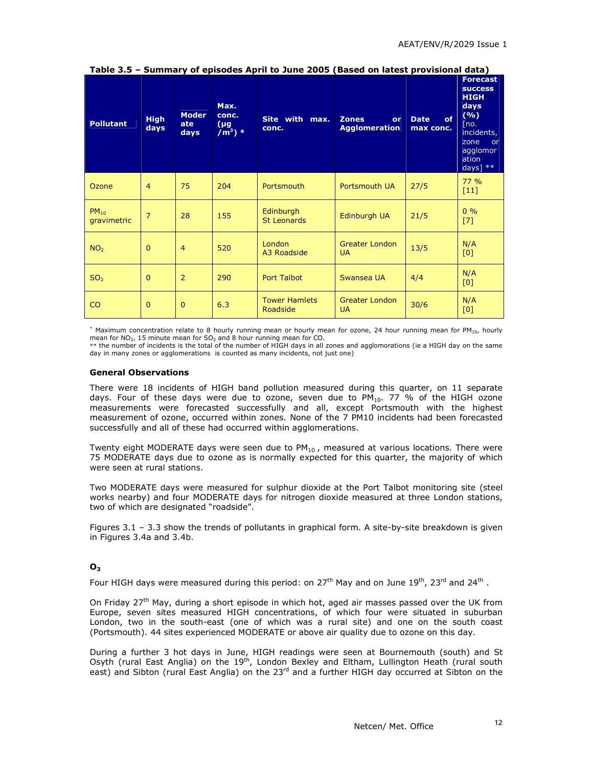| <b>Pollutant</b>         | <b>High</b><br>days | <b>Moder</b><br>ate<br>days | Max.<br>conc.<br>(µg<br>$\overline{m}^3$ ) * | Site with max.<br>conc.          | <b>Zones</b><br>or<br><b>Agglomeration</b> | Date,<br>of<br>max conc. | <b>Forecast</b><br><b>SUCCESS</b><br><b>HIGH</b><br>days<br>(%)<br>[no.]<br>incidents,<br>zone<br><sub>or</sub><br>agglomor<br>ation<br>$days]$ ** |
|--------------------------|---------------------|-----------------------------|----------------------------------------------|----------------------------------|--------------------------------------------|--------------------------|----------------------------------------------------------------------------------------------------------------------------------------------------|
| Ozone                    | $\overline{4}$      | 75                          | 204                                          | Portsmouth                       | Portsmouth UA                              | 27/5                     | 77 %<br>$[11]$                                                                                                                                     |
| $PM_{10}$<br>gravimetric | $\overline{7}$      | 28                          | 155                                          | Edinburgh<br><b>St Leonards</b>  | Edinburgh UA                               | 21/5                     | $0\%$<br>$[7]$                                                                                                                                     |
| NO <sub>2</sub>          | $\Omega$            | $\overline{4}$              | 520                                          | London<br>A3 Roadside            | <b>Greater London</b><br><b>UA</b>         | 13/5                     | N/A<br>[0]                                                                                                                                         |
| SO <sub>2</sub>          | $\Omega$            | $\overline{2}$              | 290                                          | <b>Port Talbot</b>               | Swansea UA                                 | 4/4                      | N/A<br>[0]                                                                                                                                         |
| <sub>CO</sub>            | $\Omega$            | $\mathbf 0$                 | 6.3                                          | <b>Tower Hamlets</b><br>Roadside | Greater London<br><b>UA</b>                | 30/6                     | N/A<br>[0]                                                                                                                                         |

Table 3.5 – Summary of episodes April to June 2005 (Based on latest provisional data)

\* Maximum concentration relate to 8 hourly running mean or hourly mean for ozone, 24 hour running mean for PM<sub>10</sub>, hourly mean for  $NO<sub>2</sub>$ , 15 minute mean for  $SO<sub>2</sub>$  and 8 hour running mean for CO.

\*\* the number of incidents is the total of the number of HIGH days in all zones and agglomorations (ie a HIGH day on the same day in many zones or agglomerations is counted as many incidents, not just one)

#### General Observations

There were 18 incidents of HIGH band pollution measured during this quarter, on 11 separate days. Four of these days were due to ozone, seven due to  $PM_{10}$ . 77 % of the HIGH ozone measurements were forecasted successfully and all, except Portsmouth with the highest measurement of ozone, occurred within zones. None of the 7 PM10 incidents had been forecasted successfully and all of these had occurred within agglomerations.

Twenty eight MODERATE days were seen due to  $PM_{10}$ , measured at various locations. There were 75 MODERATE days due to ozone as is normally expected for this quarter, the majority of which were seen at rural stations.

Two MODERATE days were measured for sulphur dioxide at the Port Talbot monitoring site (steel works nearby) and four MODERATE days for nitrogen dioxide measured at three London stations, two of which are designated "roadside".

Figures 3.1 – 3.3 show the trends of pollutants in graphical form. A site-by-site breakdown is given in Figures 3.4a and 3.4b.

#### $O<sub>3</sub>$

Four HIGH days were measured during this period: on 27<sup>th</sup> May and on June 19<sup>th</sup>, 23<sup>rd</sup> and 24<sup>th</sup>.

On Friday  $27<sup>th</sup>$  May, during a short episode in which hot, aged air masses passed over the UK from Europe, seven sites measured HIGH concentrations, of which four were situated in suburban London, two in the south-east (one of which was a rural site) and one on the south coast (Portsmouth). 44 sites experienced MODERATE or above air quality due to ozone on this day.

During a further 3 hot days in June, HIGH readings were seen at Bournemouth (south) and St Osyth (rural East Anglia) on the 19<sup>th</sup>, London Bexley and Eltham, Lullington Heath (rural south east) and Sibton (rural East Anglia) on the 23<sup>rd</sup> and a further HIGH day occurred at Sibton on the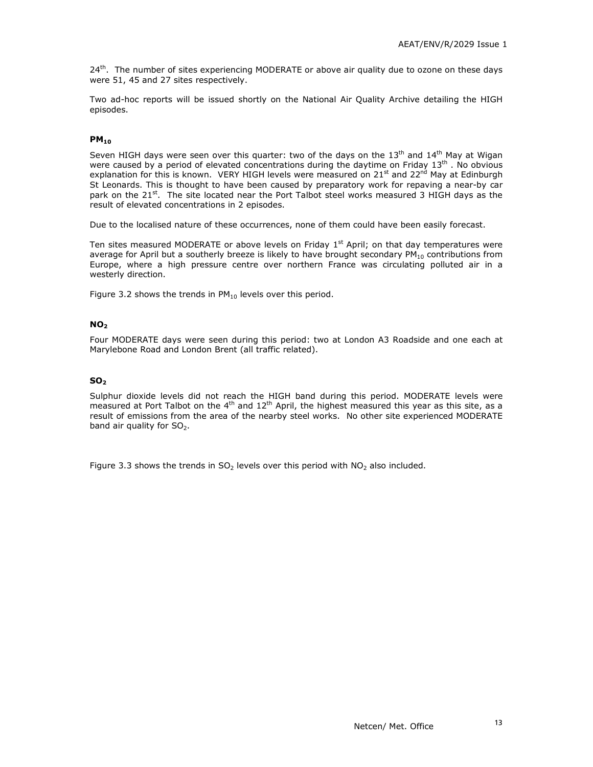24<sup>th</sup>. The number of sites experiencing MODERATE or above air quality due to ozone on these days were 51, 45 and 27 sites respectively.

Two ad-hoc reports will be issued shortly on the National Air Quality Archive detailing the HIGH episodes.

### $PM_{10}$

Seven HIGH days were seen over this quarter: two of the days on the  $13<sup>th</sup>$  and  $14<sup>th</sup>$  May at Wigan were caused by a period of elevated concentrations during the daytime on Friday  $13<sup>th</sup>$ . No obvious explanation for this is known. VERY HIGH levels were measured on  $21<sup>st</sup>$  and  $22<sup>nd</sup>$  May at Edinburgh St Leonards. This is thought to have been caused by preparatory work for repaving a near-by car park on the 21 $<sup>st</sup>$ . The site located near the Port Talbot steel works measured 3 HIGH days as the</sup> result of elevated concentrations in 2 episodes.

Due to the localised nature of these occurrences, none of them could have been easily forecast.

Ten sites measured MODERATE or above levels on Friday 1<sup>st</sup> April; on that day temperatures were average for April but a southerly breeze is likely to have brought secondary  $PM_{10}$  contributions from Europe, where a high pressure centre over northern France was circulating polluted air in a westerly direction.

Figure 3.2 shows the trends in  $PM_{10}$  levels over this period.

### $NO<sub>2</sub>$

Four MODERATE days were seen during this period: two at London A3 Roadside and one each at Marylebone Road and London Brent (all traffic related).

### $SO<sub>2</sub>$

Sulphur dioxide levels did not reach the HIGH band during this period. MODERATE levels were measured at Port Talbot on the  $4<sup>th</sup>$  and  $12<sup>th</sup>$  April, the highest measured this year as this site, as a result of emissions from the area of the nearby steel works. No other site experienced MODERATE band air quality for  $SO<sub>2</sub>$ .

Figure 3.3 shows the trends in  $SO<sub>2</sub>$  levels over this period with NO<sub>2</sub> also included.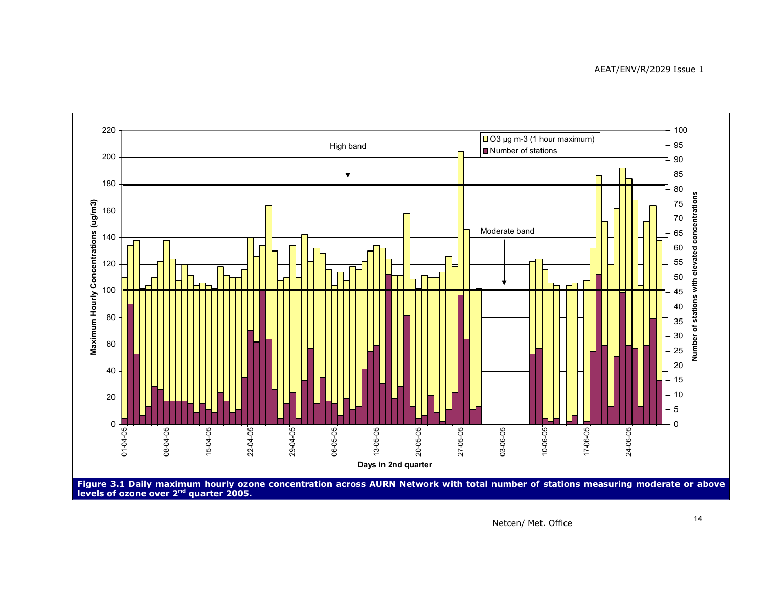AEAT/ENV/R/2029 Issue 1



Netcen/ Met. Office $\epsilon$  and  $\epsilon$  14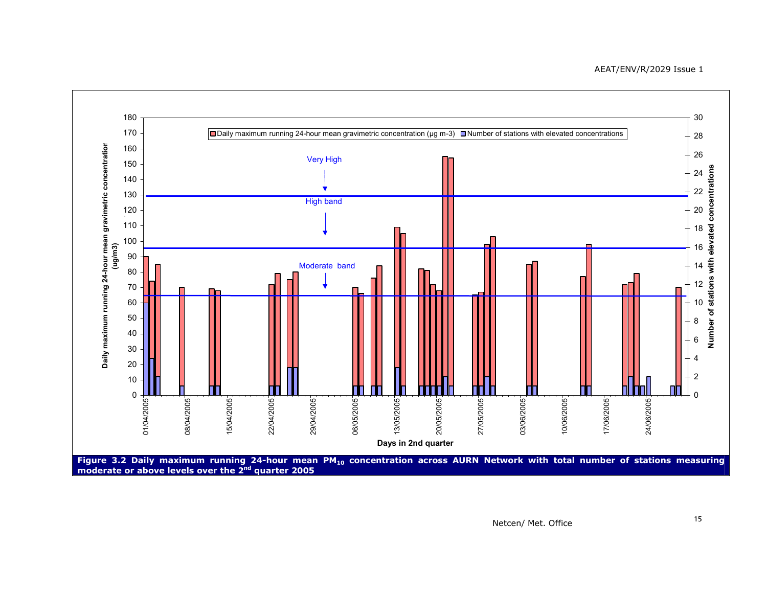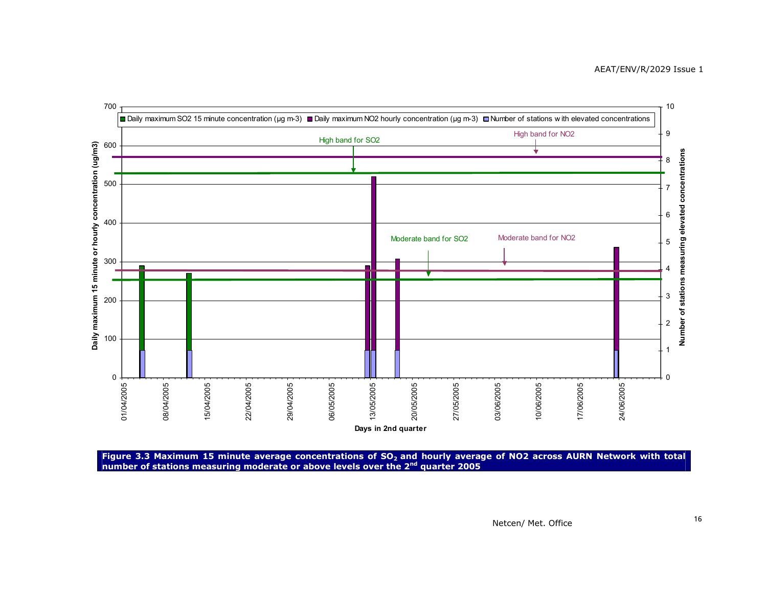

Figure 3.3 Maximum 15 minute average concentrations of SO<sub>2</sub> and hourly average of NO2 across AURN Network with total<br>number of stations measuring moderate or above levels over the 2<sup>nd</sup> quarter 2005

Netcen/ Met. Officee and the set of the set of the set of the set of the set of the set of the set of the set of the set of the s<br>Alternative set of the set of the set of the set of the set of the set of the set of the set of the set of the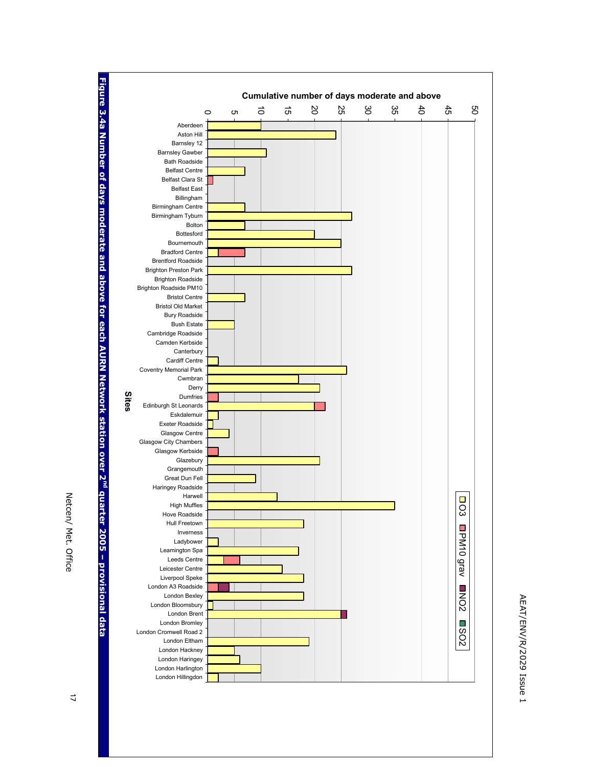

AEAT/ENV/R/2029 Issue 1 AEAT/ENV/R/2029 Issue

 $\mathbf{L}$ 

Netcen/ Met. Office Netcen/ Met. Office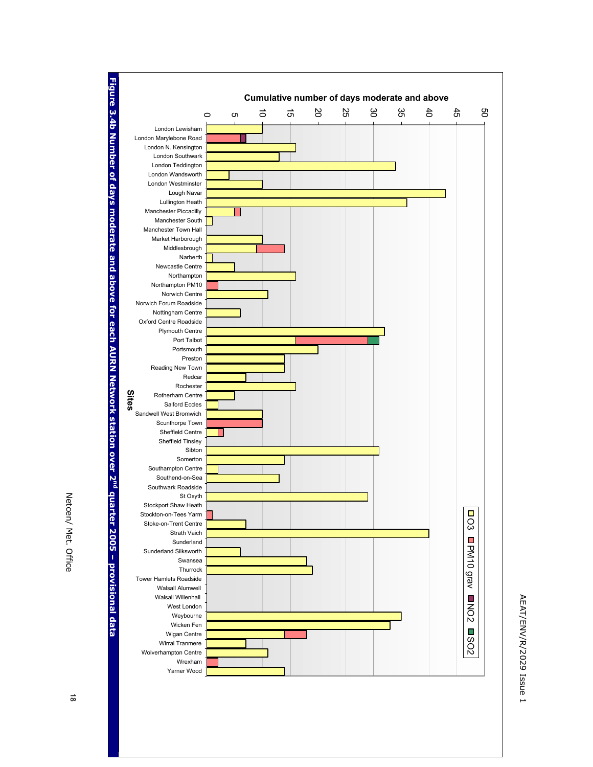

Netcen/ Met. Office Netcen/ Met. Office

> AEAT/ENV/R/2029 Issue 1 AEAT/ENV/R/2029 Issue 1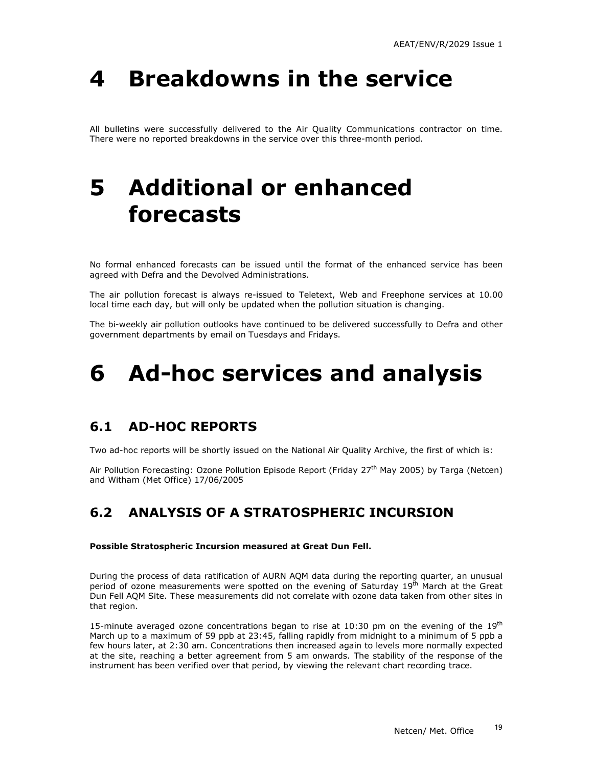# 4 Breakdowns in the service

All bulletins were successfully delivered to the Air Quality Communications contractor on time. There were no reported breakdowns in the service over this three-month period.

# 5 Additional or enhanced forecasts

No formal enhanced forecasts can be issued until the format of the enhanced service has been agreed with Defra and the Devolved Administrations.

The air pollution forecast is always re-issued to Teletext, Web and Freephone services at 10.00 local time each day, but will only be updated when the pollution situation is changing.

The bi-weekly air pollution outlooks have continued to be delivered successfully to Defra and other government departments by email on Tuesdays and Fridays.

## 6 Ad-hoc services and analysis

### 6.1 AD-HOC REPORTS

Two ad-hoc reports will be shortly issued on the National Air Quality Archive, the first of which is:

Air Pollution Forecasting: Ozone Pollution Episode Report (Friday 27<sup>th</sup> May 2005) by Targa (Netcen) and Witham (Met Office) 17/06/2005

### 6.2 ANALYSIS OF A STRATOSPHERIC INCURSION

#### Possible Stratospheric Incursion measured at Great Dun Fell.

During the process of data ratification of AURN AQM data during the reporting quarter, an unusual period of ozone measurements were spotted on the evening of Saturday  $19<sup>th</sup>$  March at the Great Dun Fell AQM Site. These measurements did not correlate with ozone data taken from other sites in that region.

15-minute averaged ozone concentrations began to rise at 10:30 pm on the evening of the  $19<sup>th</sup>$ March up to a maximum of 59 ppb at 23:45, falling rapidly from midnight to a minimum of 5 ppb a few hours later, at 2:30 am. Concentrations then increased again to levels more normally expected at the site, reaching a better agreement from 5 am onwards. The stability of the response of the instrument has been verified over that period, by viewing the relevant chart recording trace.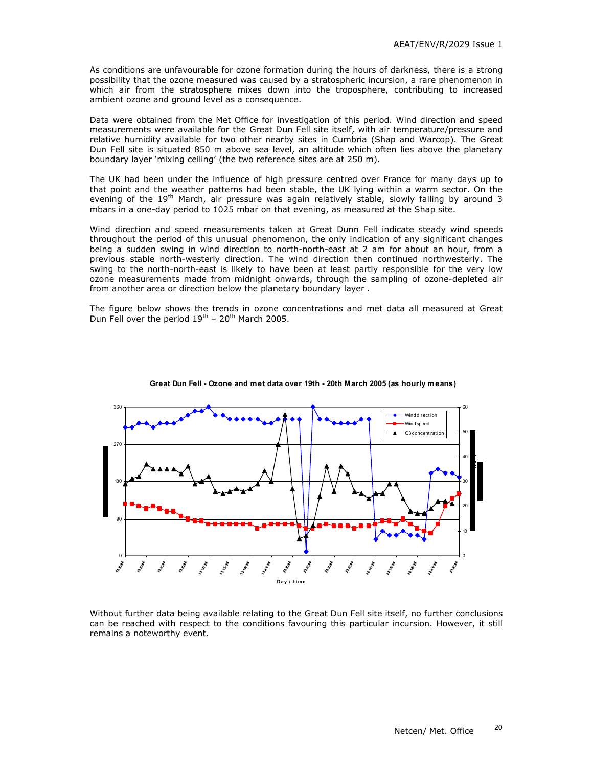As conditions are unfavourable for ozone formation during the hours of darkness, there is a strong possibility that the ozone measured was caused by a stratospheric incursion, a rare phenomenon in which air from the stratosphere mixes down into the troposphere, contributing to increased ambient ozone and ground level as a consequence.

Data were obtained from the Met Office for investigation of this period. Wind direction and speed measurements were available for the Great Dun Fell site itself, with air temperature/pressure and relative humidity available for two other nearby sites in Cumbria (Shap and Warcop). The Great Dun Fell site is situated 850 m above sea level, an altitude which often lies above the planetary boundary layer 'mixing ceiling' (the two reference sites are at 250 m).

The UK had been under the influence of high pressure centred over France for many days up to that point and the weather patterns had been stable, the UK lying within a warm sector. On the evening of the 19<sup>th</sup> March, air pressure was again relatively stable, slowly falling by around 3 mbars in a one-day period to 1025 mbar on that evening, as measured at the Shap site.

Wind direction and speed measurements taken at Great Dunn Fell indicate steady wind speeds throughout the period of this unusual phenomenon, the only indication of any significant changes being a sudden swing in wind direction to north-north-east at 2 am for about an hour, from a previous stable north-westerly direction. The wind direction then continued northwesterly. The swing to the north-north-east is likely to have been at least partly responsible for the very low ozone measurements made from midnight onwards, through the sampling of ozone-depleted air from another area or direction below the planetary boundary layer .

The figure below shows the trends in ozone concentrations and met data all measured at Great Dun Fell over the period  $19<sup>th</sup>$  – 20<sup>th</sup> March 2005.





Without further data being available relating to the Great Dun Fell site itself, no further conclusions can be reached with respect to the conditions favouring this particular incursion. However, it still remains a noteworthy event.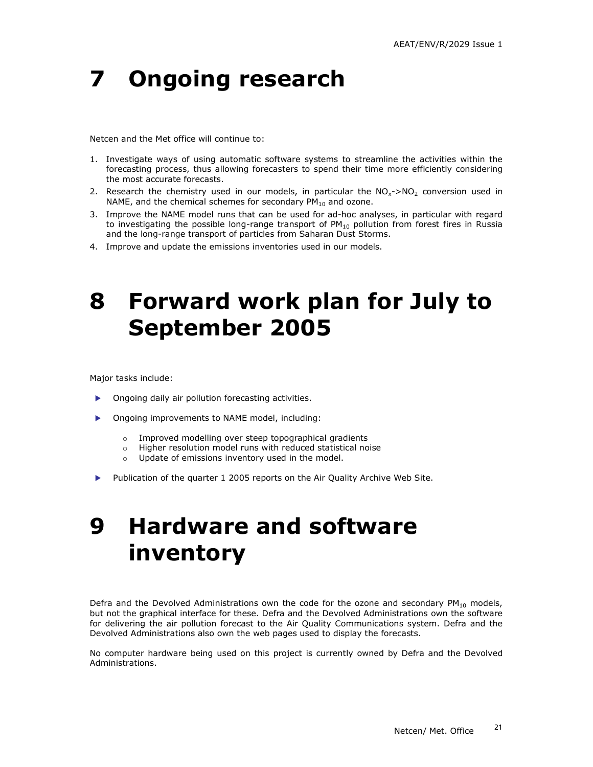# 7 Ongoing research

Netcen and the Met office will continue to:

- 1. Investigate ways of using automatic software systems to streamline the activities within the forecasting process, thus allowing forecasters to spend their time more efficiently considering the most accurate forecasts.
- 2. Research the chemistry used in our models, in particular the  $NO<sub>x</sub>$ ->NO<sub>2</sub> conversion used in NAME, and the chemical schemes for secondary  $PM_{10}$  and ozone.
- 3. Improve the NAME model runs that can be used for ad-hoc analyses, in particular with regard to investigating the possible long-range transport of  $PM_{10}$  pollution from forest fires in Russia and the long-range transport of particles from Saharan Dust Storms.
- 4. Improve and update the emissions inventories used in our models.

## 8 Forward work plan for July to September 2005

Major tasks include:

- **Demoglem** Ongoing daily air pollution forecasting activities.
- Ongoing improvements to NAME model, including:
	- o Improved modelling over steep topographical gradients
	- o Higher resolution model runs with reduced statistical noise
	- o Update of emissions inventory used in the model.
- Publication of the quarter 1 2005 reports on the Air Quality Archive Web Site.

## 9 Hardware and software inventory

Defra and the Devolved Administrations own the code for the ozone and secondary  $PM_{10}$  models, but not the graphical interface for these. Defra and the Devolved Administrations own the software for delivering the air pollution forecast to the Air Quality Communications system. Defra and the Devolved Administrations also own the web pages used to display the forecasts.

No computer hardware being used on this project is currently owned by Defra and the Devolved Administrations.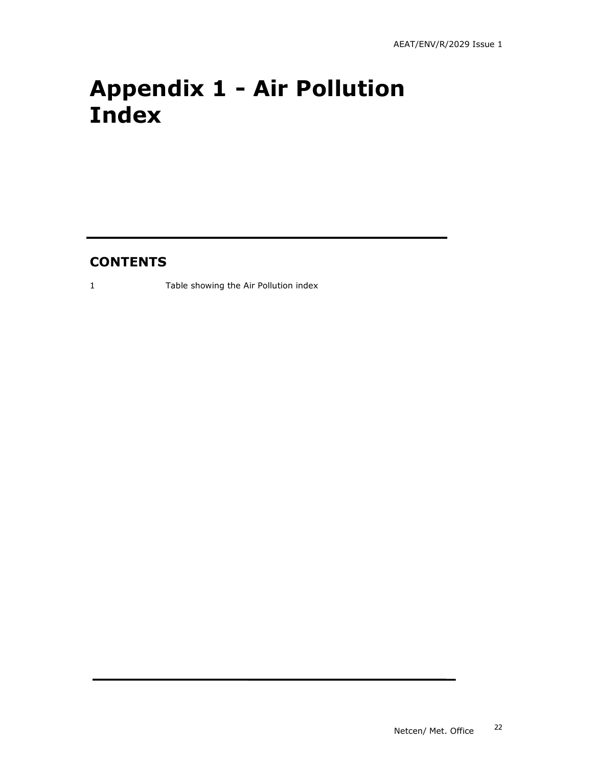# Appendix 1 - Air Pollution Index

## **CONTENTS**

1 Table showing the Air Pollution index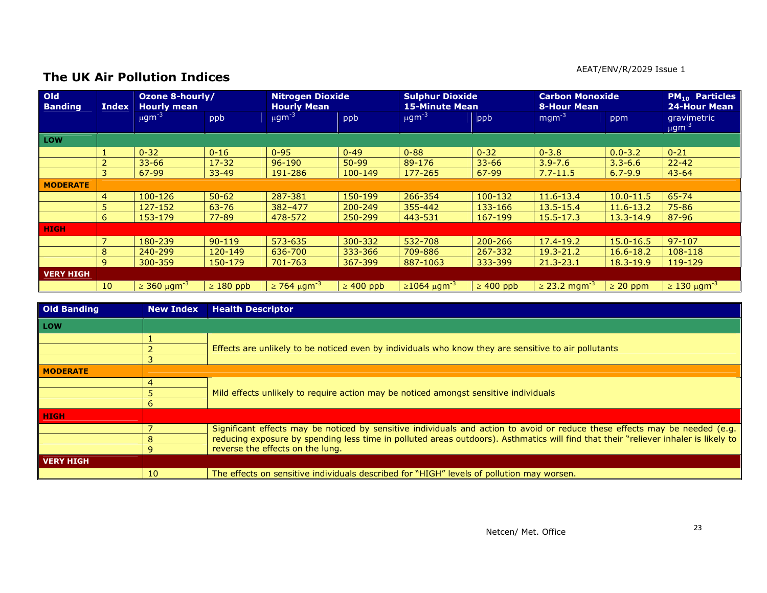### AEAT/ENV/R/2029 Issue 1

## The UK Air Pollution Indices

| <b>Old</b><br><b>Banding</b> | <b>Index</b>    | Ozone 8-hourly/<br><b>Hourly mean</b> |                | <b>Nitrogen Dioxide</b><br><b>Hourly Mean</b> |                | <b>Sulphur Dioxide</b><br><b>15-Minute Mean</b> |                | <b>Carbon Monoxide</b><br><b>8-Hour Mean</b> |               | <b>PM<sub>10</sub></b> Particles<br>24-Hour Mean |
|------------------------------|-----------------|---------------------------------------|----------------|-----------------------------------------------|----------------|-------------------------------------------------|----------------|----------------------------------------------|---------------|--------------------------------------------------|
|                              |                 | $\mu$ gm <sup>-3</sup>                | ppb            | $\mu$ gm <sup>-3</sup>                        | ppb            | $\mu$ gm <sup>-3</sup>                          | ppb            | $mgm^{-3}$                                   | ppm           | gravimetric<br>$\mu$ gm <sup>-3</sup>            |
| Low                          |                 |                                       |                |                                               |                |                                                 |                |                                              |               |                                                  |
|                              |                 | $0 - 32$                              | $0 - 16$       | $0 - 95$                                      | $0 - 49$       | $0 - 88$                                        | $0 - 32$       | $0 - 3.8$                                    | $0.0 - 3.2$   | $0 - 21$                                         |
|                              |                 | $33 - 66$                             | $17 - 32$      | $96 - 190$                                    | $50 - 99$      | 89-176                                          | $33 - 66$      | $3.9 - 7.6$                                  | $3.3 - 6.6$   | $22 - 42$                                        |
|                              | 3               | 67-99                                 | $33 - 49$      | 191-286                                       | $100 - 149$    | 177-265                                         | 67-99          | $7.7 - 11.5$                                 | $6.7 - 9.9$   | $43 - 64$                                        |
| <b>MODERATE</b>              |                 |                                       |                |                                               |                |                                                 |                |                                              |               |                                                  |
|                              | 4               | 100-126                               | $50 - 62$      | 287-381                                       | 150-199        | 266-354                                         | 100-132        | 11.6-13.4                                    | $10.0 - 11.5$ | 65-74                                            |
|                              |                 | 127-152                               | $63 - 76$      | $382 - 477$                                   | 200-249        | 355-442                                         | 133-166        | 13.5-15.4                                    | $11.6 - 13.2$ | 75-86                                            |
|                              | 6               | 153-179                               | $77 - 89$      | 478-572                                       | 250-299        | 443-531                                         | 167-199        | 15.5-17.3                                    | 13.3-14.9     | 87-96                                            |
| <b>HIGH</b>                  |                 |                                       |                |                                               |                |                                                 |                |                                              |               |                                                  |
|                              |                 | 180-239                               | $90 - 119$     | 573-635                                       | 300-332        | 532-708                                         | 200-266        | 17.4-19.2                                    | $15.0 - 16.5$ | $97 - 107$                                       |
|                              | 8               | 240-299                               | 120-149        | 636-700                                       | 333-366        | 709-886                                         | 267-332        | $19.3 - 21.2$                                | $16.6 - 18.2$ | 108-118                                          |
|                              | 9               | 300-359                               | 150-179        | 701-763                                       | 367-399        | 887-1063                                        | 333-399        | $21.3 - 23.1$                                | 18.3-19.9     | 119-129                                          |
| <b>VERY HIGH</b>             |                 |                                       |                |                                               |                |                                                 |                |                                              |               |                                                  |
|                              | 10 <sub>1</sub> | $\geq 360 \ \mu \text{gm}^{-3}$       | $\geq 180$ ppb | $\geq$ 764 µgm <sup>-3</sup>                  | $\geq 400$ ppb | $≥1064 \mu$ gm <sup>-3</sup>                    | $\geq 400$ ppb | $\geq$ 23.2 mgm <sup>-3</sup>                | $\geq$ 20 ppm | $\geq$ 130 μgm <sup>-3</sup>                     |

| <b>Old Banding</b> | <b>New Index</b> | <b>Health Descriptor</b>                                                                                                            |
|--------------------|------------------|-------------------------------------------------------------------------------------------------------------------------------------|
| LOW                |                  |                                                                                                                                     |
|                    |                  |                                                                                                                                     |
|                    |                  | Effects are unlikely to be noticed even by individuals who know they are sensitive to air pollutants                                |
|                    |                  |                                                                                                                                     |
| <b>MODERATE</b>    |                  |                                                                                                                                     |
|                    | 4                |                                                                                                                                     |
|                    |                  | Mild effects unlikely to require action may be noticed amongst sensitive individuals                                                |
|                    | 6.               |                                                                                                                                     |
| l HIGH.            |                  |                                                                                                                                     |
|                    |                  | Significant effects may be noticed by sensitive individuals and action to avoid or reduce these effects may be needed (e.g.         |
|                    | 8                | reducing exposure by spending less time in polluted areas outdoors). Asthmatics will find that their "reliever inhaler is likely to |
|                    | 9                | reverse the effects on the lung.                                                                                                    |
| <b>VERY HIGH</b>   |                  |                                                                                                                                     |
|                    | 10               | The effects on sensitive individuals described for "HIGH" levels of pollution may worsen.                                           |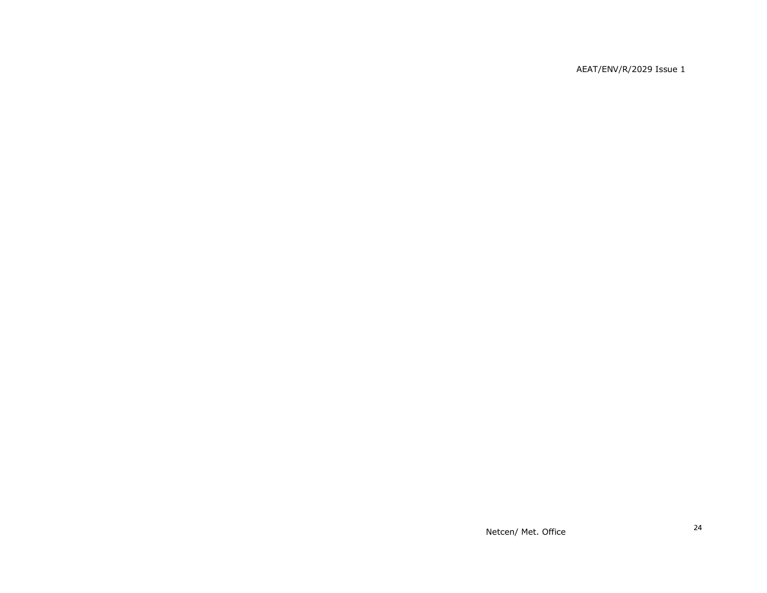AEAT/ENV/R/2029 Issue 1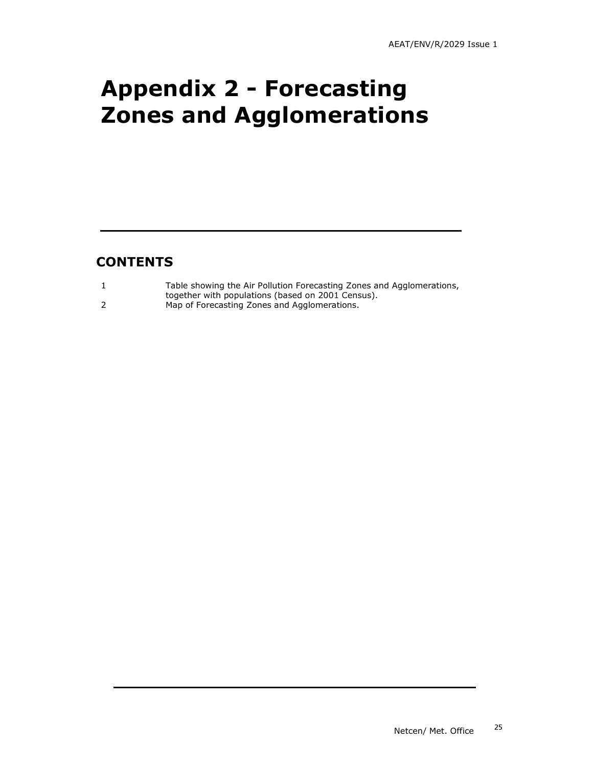# Appendix 2 - Forecasting Zones and Agglomerations

### **CONTENTS**

| Table showing the Air Pollution Forecasting Zones and Agglomerations, |
|-----------------------------------------------------------------------|
| together with populations (based on 2001 Census).                     |
| Map of Forecasting Zones and Agglomerations.                          |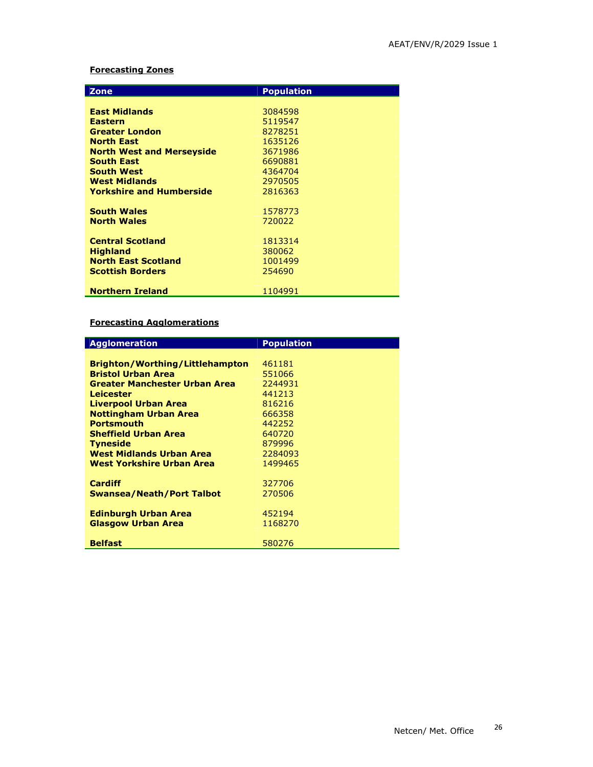### Forecasting Zones

| Zone                             | <b>Population</b> |
|----------------------------------|-------------------|
|                                  |                   |
| <b>East Midlands</b>             | 3084598           |
| <b>Eastern</b>                   | 5119547           |
| <b>Greater London</b>            | 8278251           |
| <b>North East</b>                | 1635126           |
| <b>North West and Merseyside</b> | 3671986           |
| South East                       | 6690881           |
| <b>South West</b>                | 4364704           |
| <b>West Midlands</b>             | 2970505           |
| <b>Yorkshire and Humberside</b>  | 2816363           |
|                                  |                   |
| <b>South Wales</b>               | 1578773           |
| <b>North Wales</b>               | 720022            |
|                                  |                   |
| <b>Central Scotland</b>          | 1813314           |
| <b>Highland</b>                  | 380062            |
| <b>North East Scotland</b>       | 1001499           |
|                                  |                   |
| <b>Scottish Borders</b>          | 254690            |
|                                  |                   |
| <b>Northern Ireland</b>          | 1104991           |

### Forecasting Agglomerations

| <b>Agglomeration</b>                   | <b>Population</b> |
|----------------------------------------|-------------------|
|                                        |                   |
| <b>Brighton/Worthing/Littlehampton</b> | 461181            |
| <b>Bristol Urban Area</b>              | 551066            |
| Greater Manchester Urban Area          | 2244931           |
| Leicester                              | 441213            |
| <b>Liverpool Urban Area</b>            | 816216            |
| <b>Nottingham Urban Area</b>           | 666358            |
| <b>Portsmouth</b>                      | 442252            |
| <b>Sheffield Urban Area</b>            | 640720            |
| <b>Tyneside</b>                        | 879996            |
| West Midlands Urban Area               | 2284093           |
| West Yorkshire Urban Area              | 1499465           |
|                                        |                   |
| <b>Cardiff</b>                         | 327706            |
| <b>Swansea/Neath/Port Talbot</b>       | 270506            |
|                                        |                   |
| <b>Edinburgh Urban Area</b>            | 452194            |
| <b>Glasgow Urban Area</b>              | 1168270           |
|                                        |                   |
| <b>Belfast</b>                         | 580276            |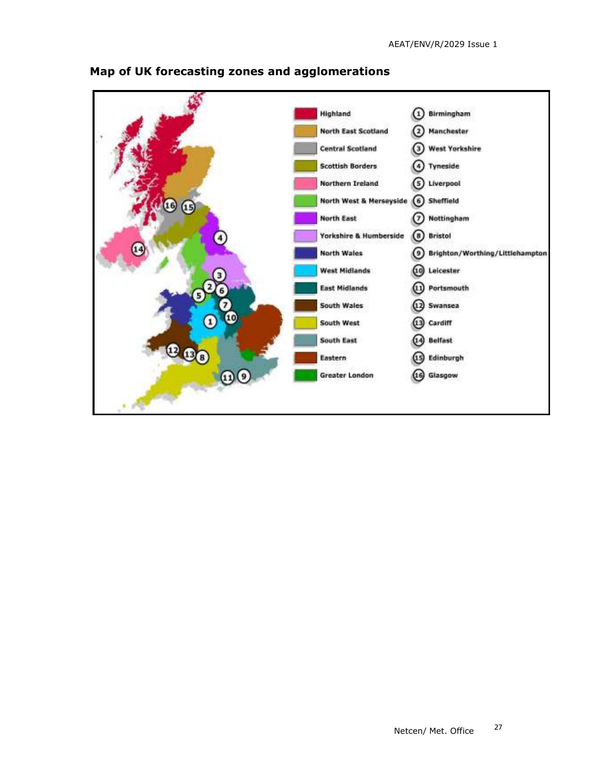

### Map of UK forecasting zones and agglomerations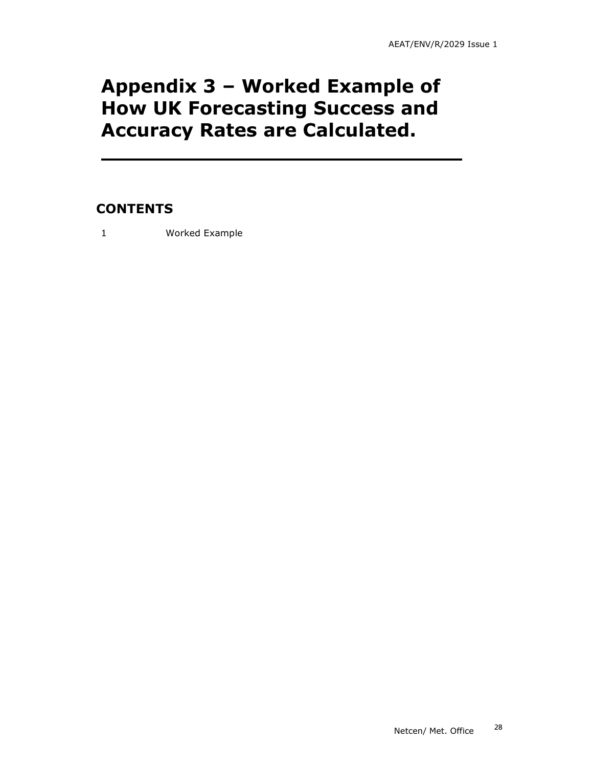## Appendix 3 – Worked Example of How UK Forecasting Success and Accuracy Rates are Calculated.

### **CONTENTS**

1 Worked Example